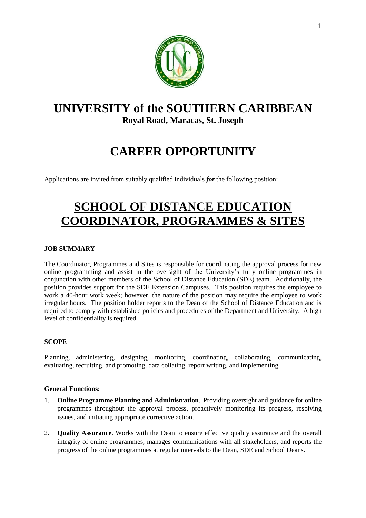

# **UNIVERSITY of the SOUTHERN CARIBBEAN Royal Road, Maracas, St. Joseph**

# **CAREER OPPORTUNITY**

Applications are invited from suitably qualified individuals *for* the following position:

# **SCHOOL OF DISTANCE EDUCATION COORDINATOR, PROGRAMMES & SITES**

# **JOB SUMMARY**

The Coordinator, Programmes and Sites is responsible for coordinating the approval process for new online programming and assist in the oversight of the University's fully online programmes in conjunction with other members of the School of Distance Education (SDE) team. Additionally, the position provides support for the SDE Extension Campuses. This position requires the employee to work a 40-hour work week; however, the nature of the position may require the employee to work irregular hours. The position holder reports to the Dean of the School of Distance Education and is required to comply with established policies and procedures of the Department and University. A high level of confidentiality is required.

# **SCOPE**

Planning, administering, designing, monitoring, coordinating, collaborating, communicating, evaluating, recruiting, and promoting, data collating, report writing, and implementing.

#### **General Functions:**

- 1. **Online Programme Planning and Administration**. Providing oversight and guidance for online programmes throughout the approval process, proactively monitoring its progress, resolving issues, and initiating appropriate corrective action.
- 2. **Quality Assurance**. Works with the Dean to ensure effective quality assurance and the overall integrity of online programmes, manages communications with all stakeholders, and reports the progress of the online programmes at regular intervals to the Dean, SDE and School Deans.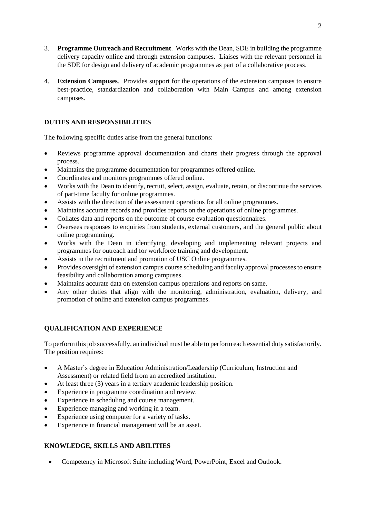- 3. **Programme Outreach and Recruitment**. Works with the Dean, SDE in building the programme delivery capacity online and through extension campuses. Liaises with the relevant personnel in the SDE for design and delivery of academic programmes as part of a collaborative process.
- 4. **Extension Campuses**. Provides support for the operations of the extension campuses to ensure best-practice, standardization and collaboration with Main Campus and among extension campuses.

# **DUTIES AND RESPONSIBILITIES**

The following specific duties arise from the general functions:

- Reviews programme approval documentation and charts their progress through the approval process.
- Maintains the programme documentation for programmes offered online.
- Coordinates and monitors programmes offered online.
- Works with the Dean to identify, recruit, select, assign, evaluate, retain, or discontinue the services of part-time faculty for online programmes.
- Assists with the direction of the assessment operations for all online programmes.
- Maintains accurate records and provides reports on the operations of online programmes.
- Collates data and reports on the outcome of course evaluation questionnaires.
- Oversees responses to enquiries from students, external customers, and the general public about online programming.
- Works with the Dean in identifying, developing and implementing relevant projects and programmes for outreach and for workforce training and development.
- Assists in the recruitment and promotion of USC Online programmes.
- Provides oversight of extension campus course scheduling and faculty approval processes to ensure feasibility and collaboration among campuses.
- Maintains accurate data on extension campus operations and reports on same.
- Any other duties that align with the monitoring, administration, evaluation, delivery, and promotion of online and extension campus programmes.

# **QUALIFICATION AND EXPERIENCE**

To perform this job successfully, an individual must be able to perform each essential duty satisfactorily. The position requires:

- A Master's degree in Education Administration/Leadership (Curriculum, Instruction and Assessment) or related field from an accredited institution.
- At least three (3) years in a tertiary academic leadership position.
- Experience in programme coordination and review.
- Experience in scheduling and course management.
- Experience managing and working in a team.
- Experience using computer for a variety of tasks.
- Experience in financial management will be an asset.

# **KNOWLEDGE, SKILLS AND ABILITIES**

Competency in Microsoft Suite including Word, PowerPoint, Excel and Outlook.